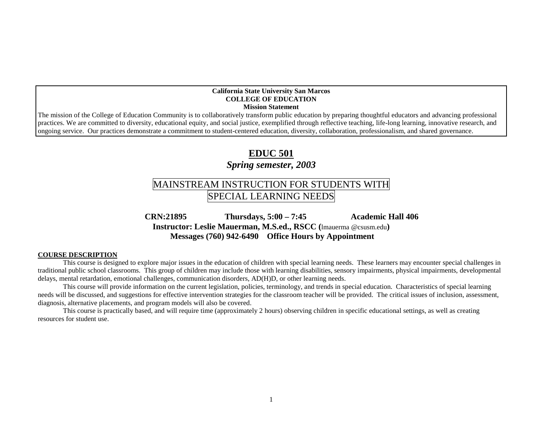#### **California State University San Marcos COLLEGE OF EDUCATION Mission Statement**

The mission of the College of Education Community is to collaboratively transform public education by preparing thoughtful educators and advancing professional practices. We are committed to diversity, educational equity, and social justice, exemplified through reflective teaching, life-long learning, innovative research, and ongoing service. Our practices demonstrate a commitment to student-centered education, diversity, collaboration, professionalism, and shared governance.

## **EDUC 501**

### *Spring semester, 2003*

# MAINSTREAM INSTRUCTION FOR STUDENTS WITH SPECIAL LEARNING NEEDS

 **CRN:21895 Thursdays, 5:00 – 7:45 Academic Hall 406 Instructor: Leslie Mauerman, M.S.ed., RSCC (**lmauerma @csusm.edu**) Messages (760) 942-6490 Office Hours by Appointment** 

#### **COURSE DESCRIPTION**

This course is designed to explore major issues in the education of children with special learning needs. These learners may encounter special challenges in traditional public school classrooms. This group of children may include those with learning disabilities, sensory impairments, physical impairments, developmental delays, mental retardation, emotional challenges, communication disorders, AD(H)D, or other learning needs.

This course will provide information on the current legislation, policies, terminology, and trends in special education. Characteristics of special learning needs will be discussed, and suggestions for effective intervention strategies for the classroom teacher will be provided. The critical issues of inclusion, assessment, diagnosis, alternative placements, and program models will also be covered.

This course is practically based, and will require time (approximately 2 hours) observing children in specific educational settings, as well as creating resources for student use.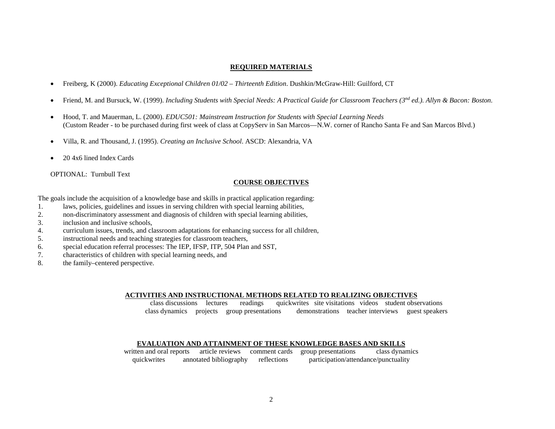#### **REQUIRED MATERIALS**

- Freiberg, K (2000). *Educating Exceptional Children 01/02 – Thirteenth Edition*. Dushkin/McGraw-Hill: Guilford, CT
- Friend, M. and Bursuck, W. (1999). *Including Students with Special Needs: A Practical Guide for Classroom Teachers (3nd ed.). Allyn & Bacon: Boston.*
- Hood, T. and Mauerman, L. (2000). *EDUC501: Mainstream Instruction for Students with Special Learning Needs* (Custom Reader - to be purchased during first week of class at CopyServ in San Marcos—N.W. corner of Rancho Santa Fe and San Marcos Blvd.)
- Villa, R. and Thousand, J. (1995). *Creating an Inclusive School*. ASCD: Alexandria, VA
- 20 4x6 lined Index Cards

OPTIONAL: Turnbull Text

#### **COURSE OBJECTIVES**

The goals include the acquisition of a knowledge base and skills in practical application regarding:

- 1. laws, policies, guidelines and issues in serving children with special learning abilities,
- 2. non-discriminatory assessment and diagnosis of children with special learning abilities,
- 3. inclusion and inclusive schools,
- 4. curriculum issues, trends, and classroom adaptations for enhancing success for all children,
- 5. instructional needs and teaching strategies for classroom teachers,
- 6. special education referral processes: The IEP, IFSP, ITP, 504 Plan and SST,
- 7. characteristics of children with special learning needs, and
- 8. the family–centered perspective.

#### **ACTIVITIES AND INSTRUCTIONAL METHODS RELATED TO REALIZING OBJECTIVES**

class discussions lectures readings quickwrites site visitations videos student observations class dynamics projects group presentations demonstrations teacher interviews guest speakers

#### **EVALUATION AND ATTAINMENT OF THESE KNOWLEDGE BASES AND SKILLS**

written and oral reports article reviews comment cards group presentations class dynamics quickwrites annotated bibliography reflections participation/attendance/punctuality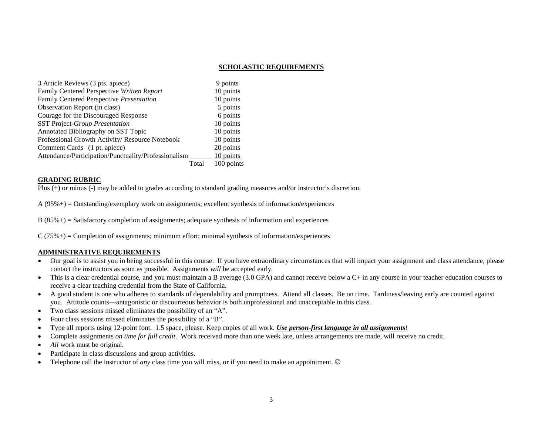#### **SCHOLASTIC REQUIREMENTS**

| 3 Article Reviews (3 pts. apiece)                    | 9 points   |
|------------------------------------------------------|------------|
| Family Centered Perspective Written Report           | 10 points  |
| Family Centered Perspective Presentation             | 10 points  |
| Observation Report (in class)                        | 5 points   |
| Courage for the Discouraged Response                 | 6 points   |
| <b>SST Project-Group Presentation</b>                | 10 points  |
| Annotated Bibliography on SST Topic                  | 10 points  |
| Professional Growth Activity/ Resource Notebook      | 10 points  |
| Comment Cards (1 pt. apiece)                         | 20 points  |
| Attendance/Participation/Punctuality/Professionalism | 10 points  |
| Total                                                | 100 points |

#### **GRADING RUBRIC**

Plus (+) or minus (-) may be added to grades according to standard grading measures and/or instructor's discretion.

 $A(95\%) =$  Outstanding/exemplary work on assignments; excellent synthesis of information/experiences

 $B(85\%) = S \cdot S \cdot A$  is factory completion of assignments; adequate synthesis of information and experiences

 $C(75\%)$  = Completion of assignments; minimum effort; minimal synthesis of information/experiences

#### **ADMINISTRATIVE REQUIREMENTS**

- Our goal is to assist you in being successful in this course. If you have extraordinary circumstances that will impact your assignment and class attendance, please contact the instructors as soon as possible. Assignments *will* be accepted early.
- This is a clear credential course, and you must maintain a B average (3.0 GPA) and cannot receive below a C+ in any course in your teacher education courses to receive a clear teaching credential from the State of California.
- A good student is one who adheres to standards of dependability and promptness. Attend all classes. Be on time. Tardiness/leaving early are counted against you. Attitude counts—antagonistic or discourteous behavior is both unprofessional and unacceptable in this class.
- Two class sessions missed eliminates the possibility of an "A".
- Four class sessions missed eliminates the possibility of a "B".
- Type all reports using 12-point font. 1.5 space, please. Keep copies of all work. *Use person-first language in all assignments!*
- Complete assignments *on time for full credit*. Work received more than one week late, unless arrangements are made, will receive no credit.
- *All* work must be original.
- Participate in class discussions and group activities.
- Telephone call the instructor of *any* class time you will miss, or if you need to make an appointment. ©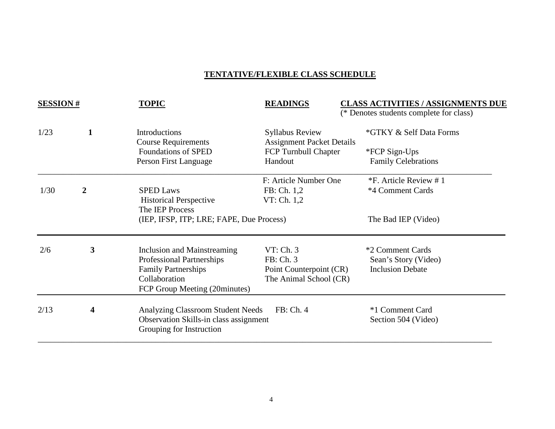## **TENTATIVE/FLEXIBLE CLASS SCHEDULE**

| <b>SESSION#</b> |                | <b>TOPIC</b>                                                                                                                                    | <b>READINGS</b>                                                             | <b>CLASS ACTIVITIES / ASSIGNMENTS DUE</b><br>(* Denotes students complete for class) |
|-----------------|----------------|-------------------------------------------------------------------------------------------------------------------------------------------------|-----------------------------------------------------------------------------|--------------------------------------------------------------------------------------|
| 1/23            | $\mathbf{1}$   | <b>Introductions</b><br><b>Course Requirements</b>                                                                                              | <b>Syllabus Review</b><br><b>Assignment Packet Details</b>                  | *GTKY & Self Data Forms                                                              |
|                 |                | <b>Foundations of SPED</b><br>Person First Language                                                                                             | FCP Turnbull Chapter<br>Handout                                             | *FCP Sign-Ups<br><b>Family Celebrations</b>                                          |
| 1/30            | $\overline{2}$ | <b>SPED Laws</b><br><b>Historical Perspective</b>                                                                                               | F: Article Number One<br>FB: Ch. 1,2<br>VT: Ch. 1,2                         | *F. Article Review #1<br>*4 Comment Cards                                            |
|                 |                |                                                                                                                                                 | The IEP Process<br>(IEP, IFSP, ITP; LRE; FAPE, Due Process)                 |                                                                                      |
| 2/6             | 3              | Inclusion and Mainstreaming<br><b>Professional Partnerships</b><br><b>Family Partnerships</b><br>Collaboration<br>FCP Group Meeting (20minutes) | VT: Ch. 3<br>FB: Ch. 3<br>Point Counterpoint (CR)<br>The Animal School (CR) | *2 Comment Cards<br>Sean's Story (Video)<br><b>Inclusion Debate</b>                  |
| 2/13            | 4              | <b>Analyzing Classroom Student Needs</b><br>Observation Skills-in class assignment<br>Grouping for Instruction                                  | FB: Ch. 4                                                                   | *1 Comment Card<br>Section 504 (Video)                                               |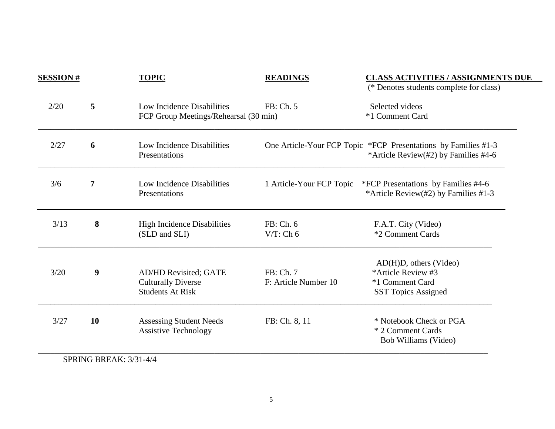| <b>SESSION#</b> |                        | <b>TOPIC</b>                                                                         | <b>READINGS</b>                   | <b>CLASS ACTIVITIES / ASSIGNMENTS DUE</b><br>(* Denotes students complete for class)                   |
|-----------------|------------------------|--------------------------------------------------------------------------------------|-----------------------------------|--------------------------------------------------------------------------------------------------------|
| 2/20            | 5                      | Low Incidence Disabilities<br>FCP Group Meetings/Rehearsal (30 min)                  | FB: Ch. 5                         | Selected videos<br>*1 Comment Card                                                                     |
| 2/27            | 6                      | Low Incidence Disabilities<br>Presentations                                          |                                   | One Article-Your FCP Topic *FCP Presentations by Families #1-3<br>*Article Review(#2) by Families #4-6 |
| 3/6             | 7                      | Low Incidence Disabilities<br>Presentations                                          | 1 Article-Your FCP Topic          | *FCP Presentations by Families #4-6<br>*Article Review(#2) by Families #1-3                            |
| 3/13            | 8                      | <b>High Incidence Disabilities</b><br>(SLD and SLI)                                  | FB: Ch. 6<br>$V/T$ : Ch 6         | F.A.T. City (Video)<br>*2 Comment Cards                                                                |
| 3/20            | 9                      | <b>AD/HD Revisited; GATE</b><br><b>Culturally Diverse</b><br><b>Students At Risk</b> | FB: Ch. 7<br>F: Article Number 10 | AD(H)D, others (Video)<br>*Article Review #3<br>*1 Comment Card<br><b>SST Topics Assigned</b>          |
| 3/27            | 10                     | <b>Assessing Student Needs</b><br><b>Assistive Technology</b>                        | FB: Ch. 8, 11                     | * Notebook Check or PGA<br>* 2 Comment Cards<br>Bob Williams (Video)                                   |
|                 | SPRING BREAK: 3/31-4/4 |                                                                                      |                                   |                                                                                                        |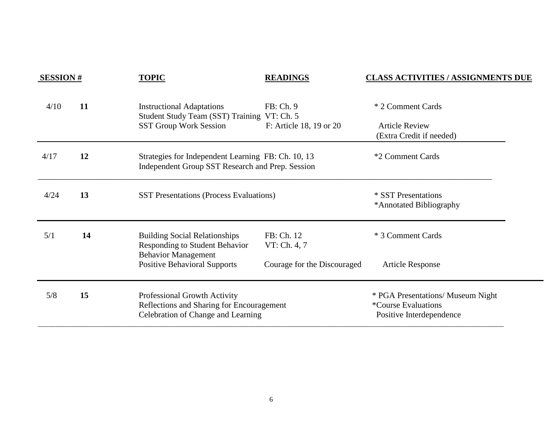| <b>SESSION#</b> |    | <b>TOPIC</b>                                                                                                                                       | <b>READINGS</b>                      | <b>CLASS ACTIVITIES / ASSIGNMENTS DUE</b>                                            |
|-----------------|----|----------------------------------------------------------------------------------------------------------------------------------------------------|--------------------------------------|--------------------------------------------------------------------------------------|
| 4/10            | 11 | <b>Instructional Adaptations</b><br>Student Study Team (SST) Training VT: Ch. 5<br><b>SST Group Work Session</b>                                   | FB: Ch. 9<br>F: Article 18, 19 or 20 | * 2 Comment Cards<br><b>Article Review</b><br>(Extra Credit if needed)               |
| 4/17            | 12 | Strategies for Independent Learning FB: Ch. 10, 13<br>Independent Group SST Research and Prep. Session                                             |                                      | *2 Comment Cards                                                                     |
| 4/24            | 13 | <b>SST Presentations (Process Evaluations)</b>                                                                                                     |                                      | * SST Presentations<br>*Annotated Bibliography                                       |
| 5/1             | 14 | <b>Building Social Relationships</b><br><b>Responding to Student Behavior</b><br><b>Behavior Management</b><br><b>Positive Behavioral Supports</b> | FB: Ch. 12<br>VT: Ch. 4, 7           | * 3 Comment Cards                                                                    |
|                 |    |                                                                                                                                                    | Courage for the Discouraged          | <b>Article Response</b>                                                              |
| 5/8             | 15 | Professional Growth Activity<br>Reflections and Sharing for Encouragement<br>Celebration of Change and Learning                                    |                                      | * PGA Presentations/ Museum Night<br>*Course Evaluations<br>Positive Interdependence |